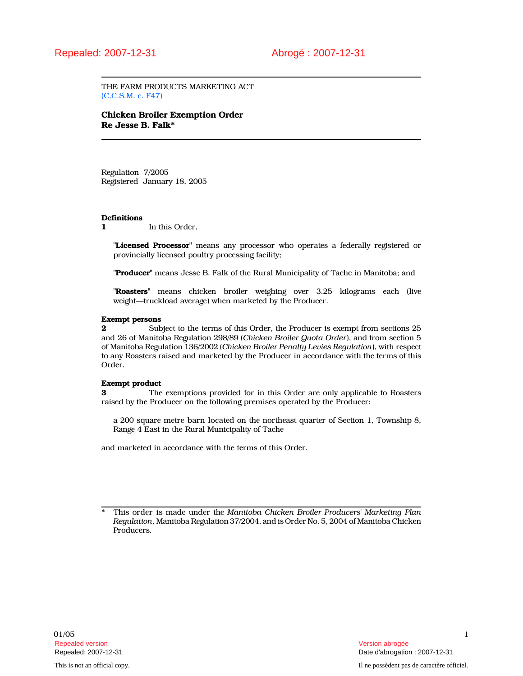THE FARM PRODUCTS MARKETING ACT (C.C.S.M. c. F47)

# Chicken Broiler Exemption Order Re Jesse B. Falk\*

Regulation 7/2005 Registered January 18, 2005

## **Definitions**

1 In this Order.

"Licensed Processor" means any processor who operates a federally registered or provincially licensed poultry processing facility;

"Producer" means Jesse B. Falk of the Rural Municipality of Tache in Manitoba; and

"Roasters" means chicken broiler weighing over 3.25 kilograms each (live weight—truckload average) when marketed by the Producer.

## Exempt persons

2 Subject to the terms of this Order, the Producer is exempt from sections 25 and 26 of Manitoba Regulation 298/89 (Chicken Broiler Quota Order), and from section 5 of Manitoba Regulation 136/2002 (Chicken Broiler Penalty Levies Regulation), with respect to any Roasters raised and marketed by the Producer in accordance with the terms of this Order.

### Exempt product

3 The exemptions provided for in this Order are only applicable to Roasters raised by the Producer on the following premises operated by the Producer:

a 200 square metre barn located on the northeast quarter of Section 1, Township 8, Range 4 East in the Rural Municipality of Tache

and marketed in accordance with the terms of this Order.

This order is made under the Manitoba Chicken Broiler Producers' Marketing Plan Regulation, Manitoba Regulation 37/2004, and is Order No. 5, 2004 of Manitoba Chicken Producers.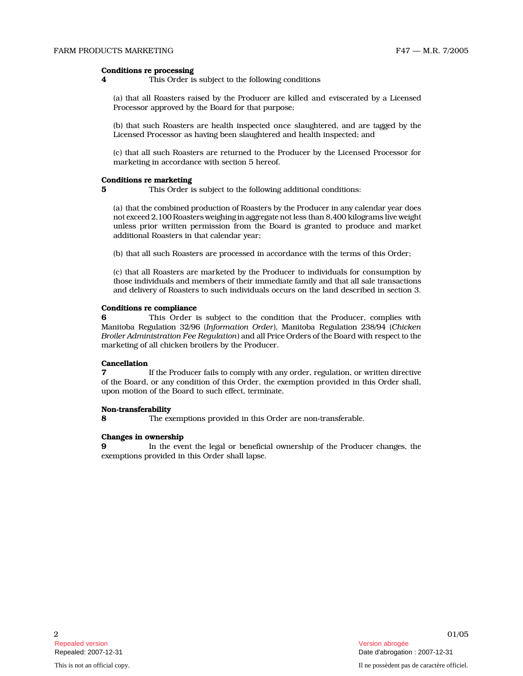## Conditions re processing

4 This Order is subject to the following conditions

(a) that all Roasters raised by the Producer are killed and eviscerated by a Licensed Processor approved by the Board for that purpose;

(b) that such Roasters are health inspected once slaughtered, and are tagged by the Licensed Processor as having been slaughtered and health inspected; and

(c) that all such Roasters are returned to the Producer by the Licensed Processor for marketing in accordance with section 5 hereof.

## Conditions re marketing

5 This Order is subject to the following additional conditions:

(a) that the combined production of Roasters by the Producer in any calendar year does not exceed 2,100 Roasters weighing in aggregate not less than 8,400 kilograms live weight unless prior written permission from the Board is granted to produce and market additional Roasters in that calendar year;

(b) that all such Roasters are processed in accordance with the terms of this Order;

(c) that all Roasters are marketed by the Producer to individuals for consumption by those individuals and members of their immediate family and that all sale transactions and delivery of Roasters to such individuals occurs on the land described in section 3.

#### Conditions re compliance

6 This Order is subject to the condition that the Producer, complies with Manitoba Regulation 32/96 (Information Order), Manitoba Regulation 238/94 (Chicken Broiler Administration Fee Regulation) and all Price Orders of the Board with respect to the marketing of all chicken broilers by the Producer.

## Cancellation

7 If the Producer fails to comply with any order, regulation, or written directive of the Board, or any condition of this Order, the exemption provided in this Order shall, upon motion of the Board to such effect, terminate.

## Non-transferability

8 The exemptions provided in this Order are non-transferable.

# Changes in ownership

9 In the event the legal or beneficial ownership of the Producer changes, the exemptions provided in this Order shall lapse.